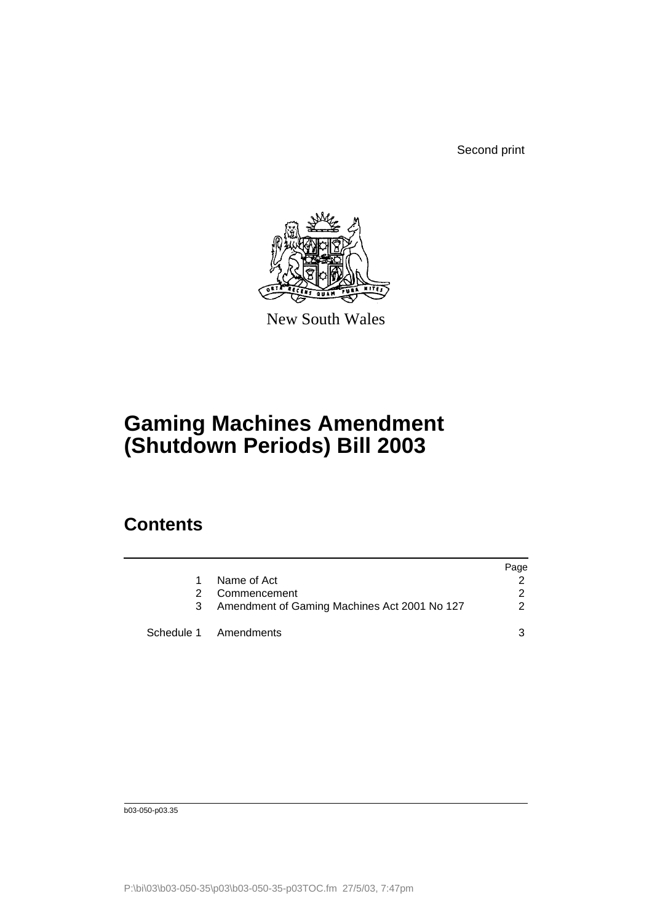Second print



New South Wales

## **Gaming Machines Amendment (Shutdown Periods) Bill 2003**

## **Contents**

|   |                                              | Page          |
|---|----------------------------------------------|---------------|
|   | Name of Act                                  |               |
| 2 | Commencement                                 | 2             |
|   | Amendment of Gaming Machines Act 2001 No 127 | $\mathcal{P}$ |
|   | Schedule 1 Amendments                        |               |

b03-050-p03.35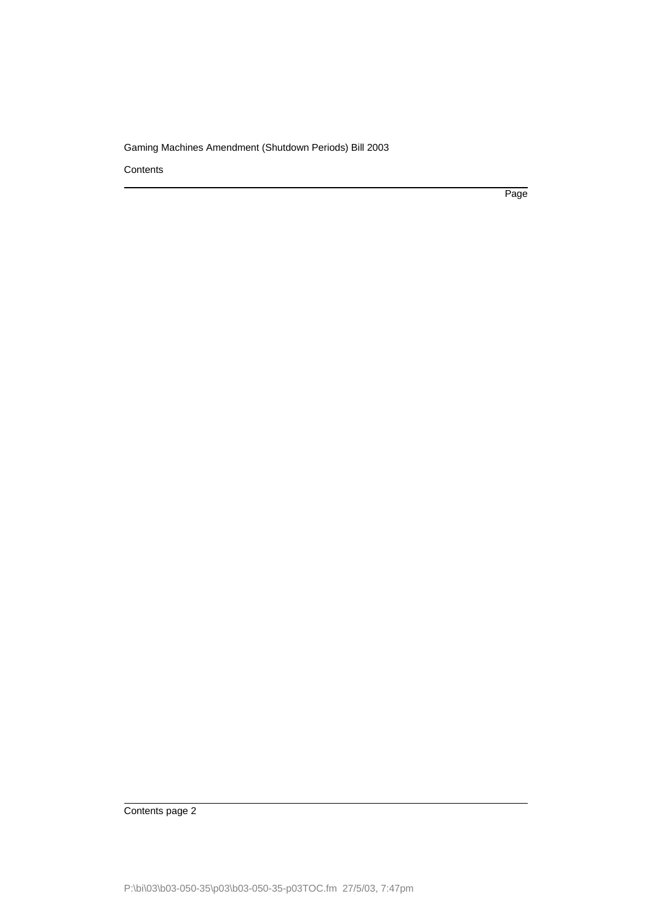**Contents** 

Page

Contents page 2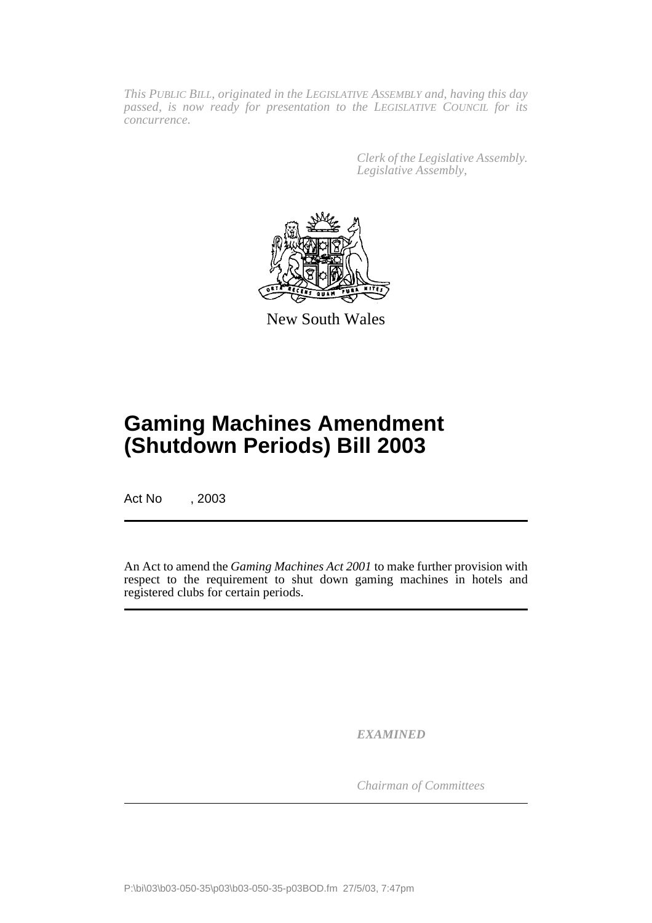*This PUBLIC BILL, originated in the LEGISLATIVE ASSEMBLY and, having this day passed, is now ready for presentation to the LEGISLATIVE COUNCIL for its concurrence.*

> *Clerk of the Legislative Assembly. Legislative Assembly,*



New South Wales

## **Gaming Machines Amendment (Shutdown Periods) Bill 2003**

Act No , 2003

An Act to amend the *Gaming Machines Act 2001* to make further provision with respect to the requirement to shut down gaming machines in hotels and registered clubs for certain periods.

*EXAMINED*

*Chairman of Committees*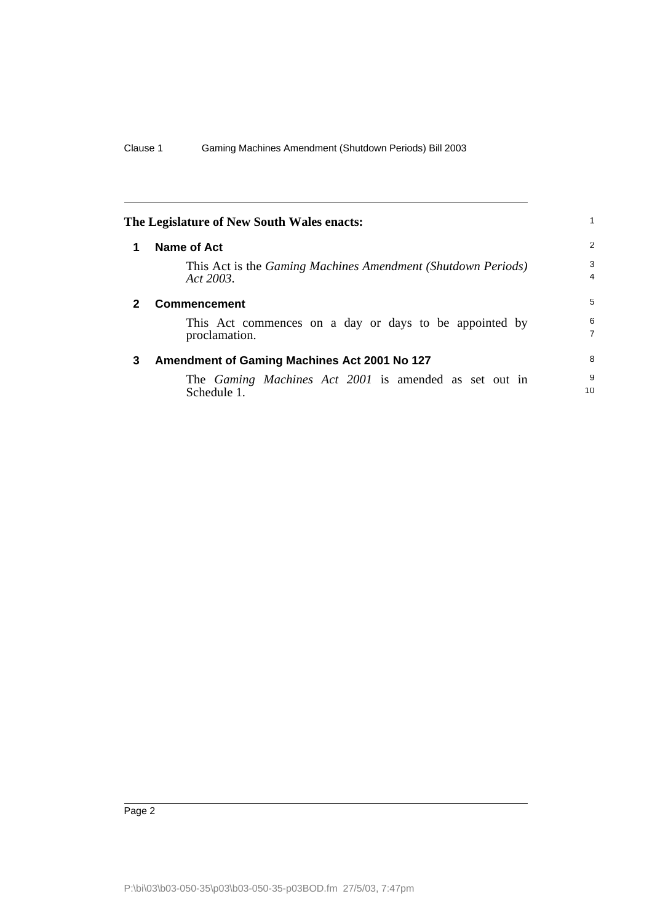<span id="page-3-2"></span><span id="page-3-1"></span><span id="page-3-0"></span>

|   | The Legislature of New South Wales enacts:                                  |         |
|---|-----------------------------------------------------------------------------|---------|
| 1 | <b>Name of Act</b>                                                          | 2       |
|   | This Act is the Gaming Machines Amendment (Shutdown Periods)<br>Act 2003.   | 3<br>4  |
| 2 | <b>Commencement</b>                                                         | 5       |
|   | This Act commences on a day or days to be appointed by<br>proclamation.     | 6<br>7  |
| 3 | Amendment of Gaming Machines Act 2001 No 127                                | 8       |
|   | The <i>Gaming Machines Act 2001</i> is amended as set out in<br>Schedule 1. | 9<br>10 |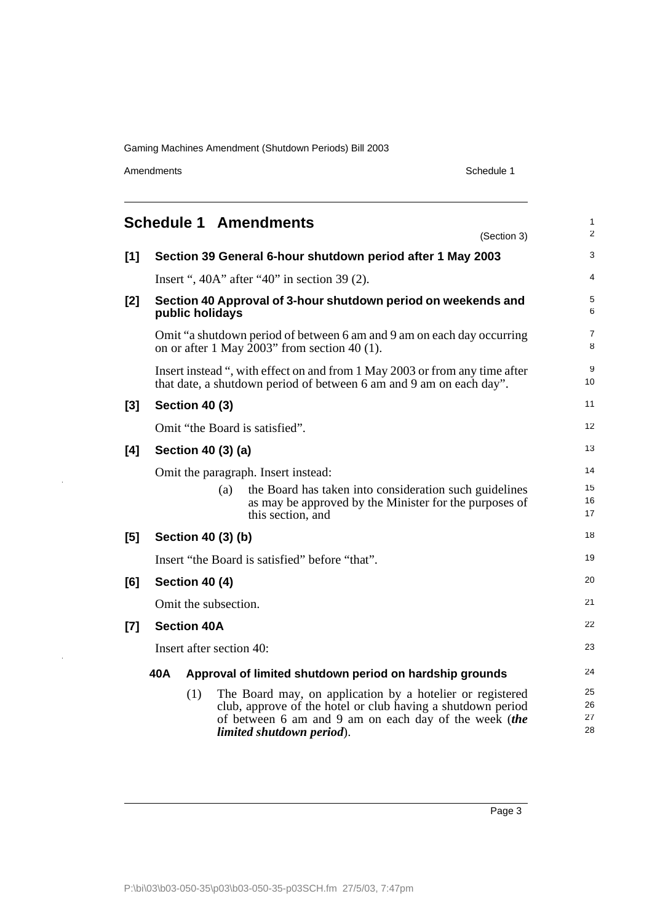Amendments Schedule 1

 $\bar{\psi}$ 

 $\hat{\boldsymbol{\beta}}$ 

<span id="page-4-0"></span>

|                                                                | <b>Schedule 1 Amendments</b><br>(Section 3)                                                                                                                                                                           | 1<br>$\overline{c}$  |  |  |
|----------------------------------------------------------------|-----------------------------------------------------------------------------------------------------------------------------------------------------------------------------------------------------------------------|----------------------|--|--|
| $[1]$                                                          | Section 39 General 6-hour shutdown period after 1 May 2003                                                                                                                                                            | 3                    |  |  |
|                                                                | Insert ", $40A$ " after " $40$ " in section 39 (2).                                                                                                                                                                   | 4                    |  |  |
| [2]                                                            | Section 40 Approval of 3-hour shutdown period on weekends and<br>public holidays                                                                                                                                      | 5<br>6               |  |  |
|                                                                | Omit "a shutdown period of between 6 am and 9 am on each day occurring<br>on or after 1 May 2003" from section 40 (1).                                                                                                | 7<br>8               |  |  |
|                                                                | Insert instead ", with effect on and from 1 May 2003 or from any time after<br>that date, a shutdown period of between 6 am and 9 am on each day".                                                                    | 9<br>10              |  |  |
| [3]                                                            | <b>Section 40 (3)</b>                                                                                                                                                                                                 | 11                   |  |  |
|                                                                | Omit "the Board is satisfied".                                                                                                                                                                                        | 12                   |  |  |
| [4]                                                            | Section 40 (3) (a)                                                                                                                                                                                                    | 13                   |  |  |
|                                                                | Omit the paragraph. Insert instead:                                                                                                                                                                                   | 14                   |  |  |
|                                                                | the Board has taken into consideration such guidelines<br>(a)<br>as may be approved by the Minister for the purposes of<br>this section, and                                                                          | 15<br>16<br>17       |  |  |
| [5]                                                            | Section 40 (3) (b)                                                                                                                                                                                                    | 18                   |  |  |
|                                                                | Insert "the Board is satisfied" before "that".                                                                                                                                                                        | 19                   |  |  |
| [6]                                                            | Section 40 (4)                                                                                                                                                                                                        |                      |  |  |
|                                                                | Omit the subsection.                                                                                                                                                                                                  | 21                   |  |  |
| [7]                                                            | <b>Section 40A</b>                                                                                                                                                                                                    | 22                   |  |  |
|                                                                | Insert after section 40:                                                                                                                                                                                              |                      |  |  |
| 40A<br>Approval of limited shutdown period on hardship grounds |                                                                                                                                                                                                                       |                      |  |  |
|                                                                | (1)<br>The Board may, on application by a hotelier or registered<br>club, approve of the hotel or club having a shutdown period<br>of between 6 am and 9 am on each day of the week (the<br>limited shutdown period). | 25<br>26<br>27<br>28 |  |  |

Page 3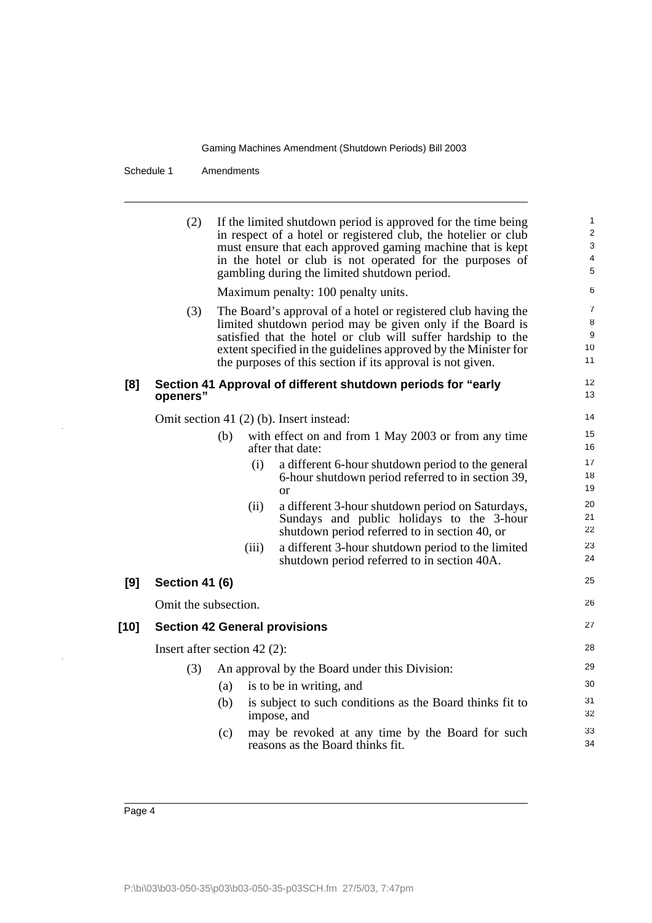Schedule 1 Amendments

|      | (2)                            |                                      | If the limited shutdown period is approved for the time being<br>in respect of a hotel or registered club, the hotelier or club<br>must ensure that each approved gaming machine that is kept<br>in the hotel or club is not operated for the purposes of<br>gambling during the limited shutdown period.                   | $\mathbf{1}$<br>2<br>3<br>4<br>5 |
|------|--------------------------------|--------------------------------------|-----------------------------------------------------------------------------------------------------------------------------------------------------------------------------------------------------------------------------------------------------------------------------------------------------------------------------|----------------------------------|
|      |                                |                                      | Maximum penalty: 100 penalty units.                                                                                                                                                                                                                                                                                         | 6                                |
|      | (3)                            |                                      | The Board's approval of a hotel or registered club having the<br>limited shutdown period may be given only if the Board is<br>satisfied that the hotel or club will suffer hardship to the<br>extent specified in the guidelines approved by the Minister for<br>the purposes of this section if its approval is not given. | 7<br>8<br>9<br>10<br>11          |
| [8]  | openers"                       |                                      | Section 41 Approval of different shutdown periods for "early                                                                                                                                                                                                                                                                | 12<br>13                         |
|      |                                |                                      | Omit section 41 (2) (b). Insert instead:                                                                                                                                                                                                                                                                                    | 14                               |
|      |                                | (b)                                  | with effect on and from 1 May 2003 or from any time<br>after that date:                                                                                                                                                                                                                                                     | 15<br>16                         |
|      |                                | (i)                                  | a different 6-hour shutdown period to the general<br>6-hour shutdown period referred to in section 39,<br><b>or</b>                                                                                                                                                                                                         | 17<br>18<br>19                   |
|      |                                | (ii)                                 | a different 3-hour shutdown period on Saturdays,<br>Sundays and public holidays to the 3-hour<br>shutdown period referred to in section 40, or                                                                                                                                                                              | 20<br>21<br>22                   |
|      |                                | (iii)                                | a different 3-hour shutdown period to the limited<br>shutdown period referred to in section 40A.                                                                                                                                                                                                                            | 23<br>24                         |
| [9]  | <b>Section 41 (6)</b>          |                                      |                                                                                                                                                                                                                                                                                                                             | 25                               |
|      | Omit the subsection.           |                                      |                                                                                                                                                                                                                                                                                                                             | 26                               |
| [10] |                                | <b>Section 42 General provisions</b> |                                                                                                                                                                                                                                                                                                                             | 27                               |
|      | Insert after section $42(2)$ : |                                      |                                                                                                                                                                                                                                                                                                                             | 28                               |
|      | (3)                            |                                      | An approval by the Board under this Division:                                                                                                                                                                                                                                                                               | 29                               |
|      |                                | (a)                                  | is to be in writing, and                                                                                                                                                                                                                                                                                                    | 30                               |
|      |                                | (b)                                  | is subject to such conditions as the Board thinks fit to<br>impose, and                                                                                                                                                                                                                                                     | 31<br>32                         |
|      |                                | (c)                                  | may be revoked at any time by the Board for such<br>reasons as the Board thinks fit.                                                                                                                                                                                                                                        | 33<br>34                         |
|      |                                |                                      |                                                                                                                                                                                                                                                                                                                             |                                  |

 $\frac{1}{2}$